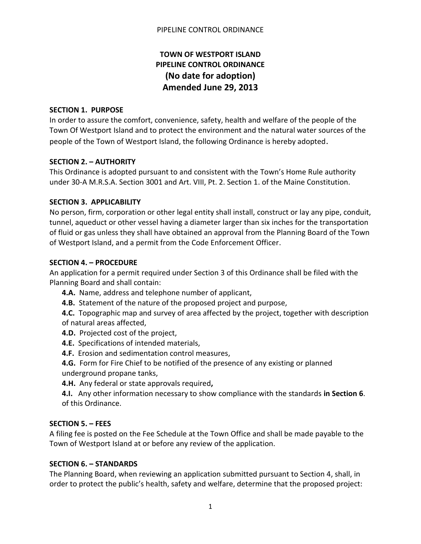# **TOWN OF WESTPORT ISLAND PIPELINE CONTROL ORDINANCE (No date for adoption) Amended June 29, 2013**

### **SECTION 1. PURPOSE**

In order to assure the comfort, convenience, safety, health and welfare of the people of the Town Of Westport Island and to protect the environment and the natural water sources of the people of the Town of Westport Island, the following Ordinance is hereby adopted.

# **SECTION 2. – AUTHORITY**

This Ordinance is adopted pursuant to and consistent with the Town's Home Rule authority under 30-A M.R.S.A. Section 3001 and Art. VIII, Pt. 2. Section 1. of the Maine Constitution.

# **SECTION 3. APPLICABILITY**

No person, firm, corporation or other legal entity shall install, construct or lay any pipe, conduit, tunnel, aqueduct or other vessel having a diameter larger than six inches for the transportation of fluid or gas unless they shall have obtained an approval from the Planning Board of the Town of Westport Island, and a permit from the Code Enforcement Officer.

# **SECTION 4. – PROCEDURE**

An application for a permit required under Section 3 of this Ordinance shall be filed with the Planning Board and shall contain:

- **4.A.** Name, address and telephone number of applicant,
- **4.B.** Statement of the nature of the proposed project and purpose,

**4.C.** Topographic map and survey of area affected by the project, together with description of natural areas affected,

- **4.D.** Projected cost of the project,
- **4.E.** Specifications of intended materials,
- **4.F.** Erosion and sedimentation control measures,

**4.G.** Form for Fire Chief to be notified of the presence of any existing or planned underground propane tanks,

**4.H.** Any federal or state approvals required**,**

**4.I.** Any other information necessary to show compliance with the standards **in Section 6**. of this Ordinance.

### **SECTION 5. – FEES**

A filing fee is posted on the Fee Schedule at the Town Office and shall be made payable to the Town of Westport Island at or before any review of the application.

### **SECTION 6. – STANDARDS**

The Planning Board, when reviewing an application submitted pursuant to Section 4, shall, in order to protect the public's health, safety and welfare, determine that the proposed project: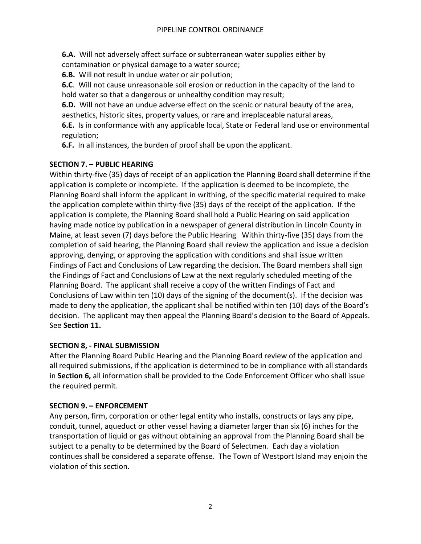**6.A.** Will not adversely affect surface or subterranean water supplies either by contamination or physical damage to a water source;

**6.B.** Will not result in undue water or air pollution;

**6.C**. Will not cause unreasonable soil erosion or reduction in the capacity of the land to hold water so that a dangerous or unhealthy condition may result;

**6.D.** Will not have an undue adverse effect on the scenic or natural beauty of the area, aesthetics, historic sites, property values, or rare and irreplaceable natural areas,

**6.E.** Is in conformance with any applicable local, State or Federal land use or environmental regulation;

**6.F.** In all instances, the burden of proof shall be upon the applicant.

# **SECTION 7. – PUBLIC HEARING**

Within thirty-five (35) days of receipt of an application the Planning Board shall determine if the application is complete or incomplete. If the application is deemed to be incomplete, the Planning Board shall inform the applicant in writhing, of the specific material required to make the application complete within thirty-five (35) days of the receipt of the application. If the application is complete, the Planning Board shall hold a Public Hearing on said application having made notice by publication in a newspaper of general distribution in Lincoln County in Maine, at least seven (7) days before the Public Hearing Within thirty-five (35) days from the completion of said hearing, the Planning Board shall review the application and issue a decision approving, denying, or approving the application with conditions and shall issue written Findings of Fact and Conclusions of Law regarding the decision. The Board members shall sign the Findings of Fact and Conclusions of Law at the next regularly scheduled meeting of the Planning Board. The applicant shall receive a copy of the written Findings of Fact and Conclusions of Law within ten (10) days of the signing of the document(s). If the decision was made to deny the application, the applicant shall be notified within ten (10) days of the Board's decision. The applicant may then appeal the Planning Board's decision to the Board of Appeals. See **Section 11.**

# **SECTION 8, - FINAL SUBMISSION**

After the Planning Board Public Hearing and the Planning Board review of the application and all required submissions, if the application is determined to be in compliance with all standards in **Section 6,** all information shall be provided to the Code Enforcement Officer who shall issue the required permit.

# **SECTION 9. – ENFORCEMENT**

Any person, firm, corporation or other legal entity who installs, constructs or lays any pipe, conduit, tunnel, aqueduct or other vessel having a diameter larger than six (6) inches for the transportation of liquid or gas without obtaining an approval from the Planning Board shall be subject to a penalty to be determined by the Board of Selectmen. Each day a violation continues shall be considered a separate offense. The Town of Westport Island may enjoin the violation of this section.